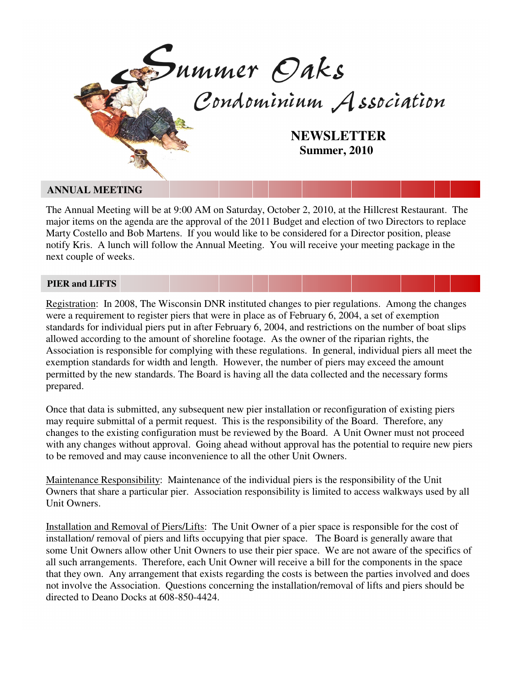

## **ANNUAL MEETING**

The Annual Meeting will be at 9:00 AM on Saturday, October 2, 2010, at the Hillcrest Restaurant. The major items on the agenda are the approval of the 2011 Budget and election of two Directors to replace Marty Costello and Bob Martens. If you would like to be considered for a Director position, please notify Kris. A lunch will follow the Annual Meeting. You will receive your meeting package in the next couple of weeks.

## **PIER and LIFTS**

Registration: In 2008, The Wisconsin DNR instituted changes to pier regulations. Among the changes were a requirement to register piers that were in place as of February 6, 2004, a set of exemption standards for individual piers put in after February 6, 2004, and restrictions on the number of boat slips allowed according to the amount of shoreline footage. As the owner of the riparian rights, the Association is responsible for complying with these regulations. In general, individual piers all meet the exemption standards for width and length. However, the number of piers may exceed the amount permitted by the new standards. The Board is having all the data collected and the necessary forms prepared.

Once that data is submitted, any subsequent new pier installation or reconfiguration of existing piers may require submittal of a permit request. This is the responsibility of the Board. Therefore, any changes to the existing configuration must be reviewed by the Board. A Unit Owner must not proceed with any changes without approval. Going ahead without approval has the potential to require new piers to be removed and may cause inconvenience to all the other Unit Owners.

Maintenance Responsibility: Maintenance of the individual piers is the responsibility of the Unit Owners that share a particular pier. Association responsibility is limited to access walkways used by all Unit Owners.

Installation and Removal of Piers/Lifts: The Unit Owner of a pier space is responsible for the cost of installation/ removal of piers and lifts occupying that pier space. The Board is generally aware that some Unit Owners allow other Unit Owners to use their pier space. We are not aware of the specifics of all such arrangements. Therefore, each Unit Owner will receive a bill for the components in the space that they own. Any arrangement that exists regarding the costs is between the parties involved and does not involve the Association. Questions concerning the installation/removal of lifts and piers should be directed to Deano Docks at 608-850-4424.